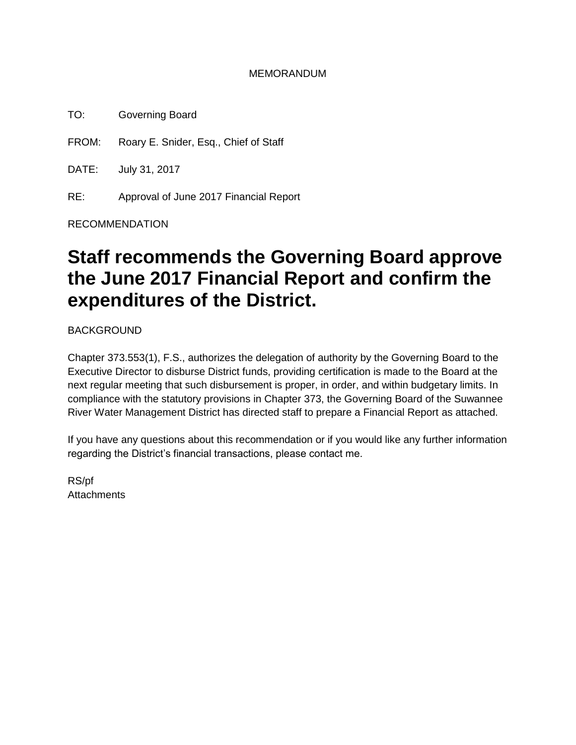#### MEMORANDUM

TO: Governing Board

FROM: Roary E. Snider, Esq., Chief of Staff

DATE: July 31, 2017

RE: Approval of June 2017 Financial Report

RECOMMENDATION

## **Staff recommends the Governing Board approve the June 2017 Financial Report and confirm the expenditures of the District.**

**BACKGROUND** 

Chapter 373.553(1), F.S., authorizes the delegation of authority by the Governing Board to the Executive Director to disburse District funds, providing certification is made to the Board at the next regular meeting that such disbursement is proper, in order, and within budgetary limits. In compliance with the statutory provisions in Chapter 373, the Governing Board of the Suwannee River Water Management District has directed staff to prepare a Financial Report as attached.

If you have any questions about this recommendation or if you would like any further information regarding the District's financial transactions, please contact me.

RS/pf **Attachments**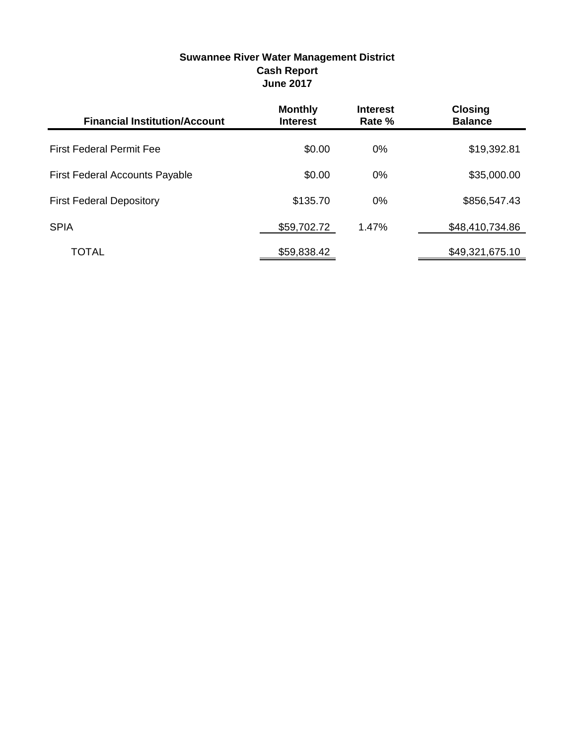| <b>Suwannee River Water Management District</b> |
|-------------------------------------------------|
| <b>Cash Report</b>                              |
| <b>June 2017</b>                                |

| <b>Financial Institution/Account</b>  | <b>Monthly</b><br><b>Interest</b> | <b>Interest</b><br>Rate % | <b>Closing</b><br><b>Balance</b> |
|---------------------------------------|-----------------------------------|---------------------------|----------------------------------|
| <b>First Federal Permit Fee</b>       | \$0.00                            | $0\%$                     | \$19,392.81                      |
| <b>First Federal Accounts Payable</b> | \$0.00                            | $0\%$                     | \$35,000.00                      |
| <b>First Federal Depository</b>       | \$135.70                          | $0\%$                     | \$856,547.43                     |
| <b>SPIA</b>                           | \$59,702.72                       | 1.47%                     | \$48,410,734.86                  |
| TOTAL                                 | \$59,838.42                       |                           | \$49,321,675.10                  |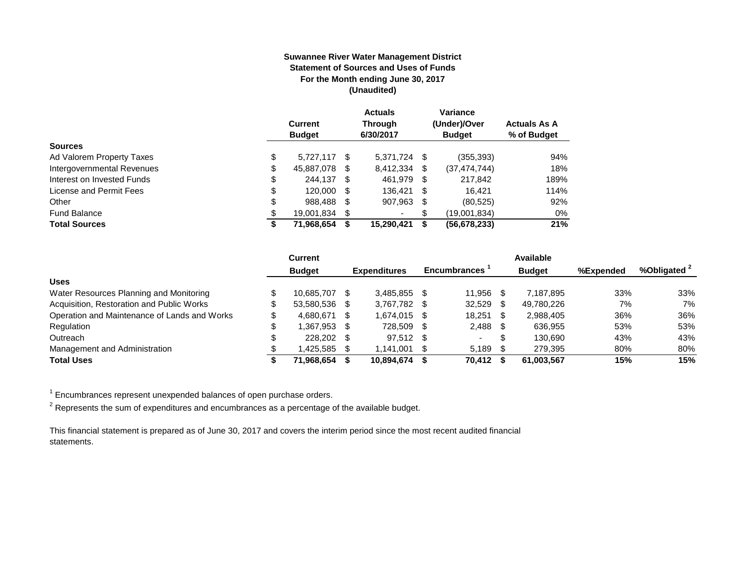#### **Suwannee River Water Management District Statement of Sources and Uses of Funds For the Month ending June 30, 2017 (Unaudited)**

|                            | <b>Current</b><br><b>Budget</b> |   | <b>Actuals</b><br><b>Through</b><br>6/30/2017 |      | Variance<br>(Under)/Over<br><b>Budget</b> | <b>Actuals As A</b><br>% of Budget |
|----------------------------|---------------------------------|---|-----------------------------------------------|------|-------------------------------------------|------------------------------------|
| <b>Sources</b>             |                                 |   |                                               |      |                                           |                                    |
| Ad Valorem Property Taxes  | \$<br>5,727,117 \$              |   | 5,371,724 \$                                  |      | (355, 393)                                | 94%                                |
| Intergovernmental Revenues | \$<br>45,887,078                | S | 8,412,334                                     | \$   | (37, 474, 744)                            | 18%                                |
| Interest on Invested Funds | \$<br>244.137 \$                |   | 461,979 \$                                    |      | 217,842                                   | 189%                               |
| License and Permit Fees    | \$<br>120,000 \$                |   | 136.421                                       | - \$ | 16.421                                    | 114%                               |
| Other                      | \$<br>988,488 \$                |   | 907,963                                       | S    | (80, 525)                                 | 92%                                |
| <b>Fund Balance</b>        | \$<br>19,001,834                |   | ۰                                             | S    | (19,001,834)                              | 0%                                 |
| <b>Total Sources</b>       | \$<br>71,968,654                |   | 15.290.421                                    | S    | (56, 678, 233)                            | 21%                                |

|                                              | Current       |      |                     |      |                     |      | Available     |           |                         |
|----------------------------------------------|---------------|------|---------------------|------|---------------------|------|---------------|-----------|-------------------------|
|                                              | <b>Budget</b> |      | <b>Expenditures</b> |      | <b>Encumbrances</b> |      | <b>Budget</b> | %Expended | %Obligated <sup>2</sup> |
| <b>Uses</b>                                  |               |      |                     |      |                     |      |               |           |                         |
| Water Resources Planning and Monitoring      | 10.685.707    |      | 3.485.855           |      | 11,956              |      | 7.187.895     | 33%       | 33%                     |
| Acquisition, Restoration and Public Works    | 53.580.536 \$ |      | 3,767,782           | - \$ | 32,529              | -S   | 49.780.226    | 7%        | 7%                      |
| Operation and Maintenance of Lands and Works | 4.680.671     | - \$ | 1.674.015           | - \$ | 18,251              | - \$ | 2,988,405     | 36%       | 36%                     |
| Regulation                                   | 1.367.953 \$  |      | 728.509             | - \$ | $2,488$ \$          |      | 636.955       | 53%       | 53%                     |
| Outreach                                     | 228,202 \$    |      | 97,512 \$           |      | $\sim$              |      | 130.690       | 43%       | 43%                     |
| Management and Administration                | 1,425,585     | - \$ | 1,141,001           |      | 5.189               |      | 279.395       | 80%       | 80%                     |
| <b>Total Uses</b>                            | 71.968.654    |      | 10,894,674          |      | 70.412              |      | 61.003.567    | 15%       | 15%                     |

 $1$  Encumbrances represent unexpended balances of open purchase orders.

 $^2$  Represents the sum of expenditures and encumbrances as a percentage of the available budget.

This financial statement is prepared as of June 30, 2017 and covers the interim period since the most recent audited financial statements.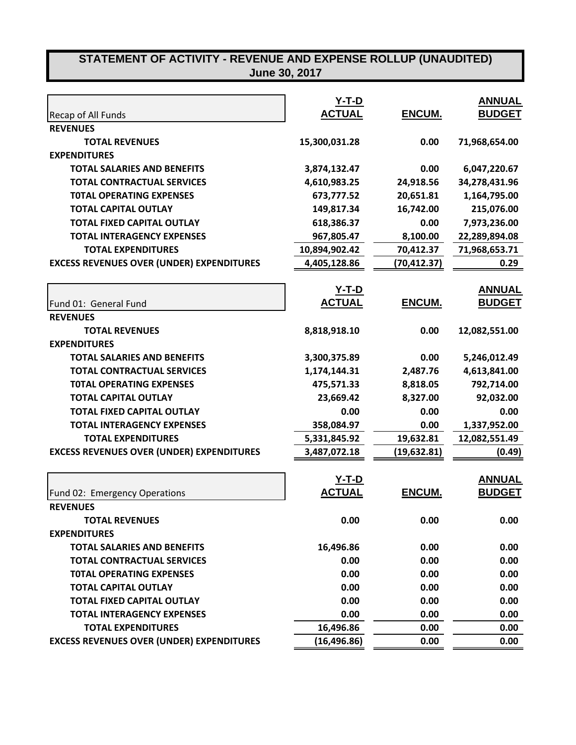### **STATEMENT OF ACTIVITY - REVENUE AND EXPENSE ROLLUP (UNAUDITED) June 30, 2017**

|                                                  | <u>Y-T-D</u>                  |               | <b>ANNUAL</b> |
|--------------------------------------------------|-------------------------------|---------------|---------------|
| Recap of All Funds                               | <b>ACTUAL</b>                 | ENCUM.        | <b>BUDGET</b> |
| <b>REVENUES</b>                                  |                               |               |               |
| <b>TOTAL REVENUES</b>                            | 15,300,031.28                 | 0.00          | 71,968,654.00 |
| <b>EXPENDITURES</b>                              |                               |               |               |
| <b>TOTAL SALARIES AND BENEFITS</b>               | 3,874,132.47                  | 0.00          | 6,047,220.67  |
| <b>TOTAL CONTRACTUAL SERVICES</b>                | 4,610,983.25                  | 24,918.56     | 34,278,431.96 |
| <b>TOTAL OPERATING EXPENSES</b>                  | 673,777.52                    | 20,651.81     | 1,164,795.00  |
| <b>TOTAL CAPITAL OUTLAY</b>                      | 149,817.34                    | 16,742.00     | 215,076.00    |
| <b>TOTAL FIXED CAPITAL OUTLAY</b>                | 618,386.37                    | 0.00          | 7,973,236.00  |
| <b>TOTAL INTERAGENCY EXPENSES</b>                | 967,805.47                    | 8,100.00      | 22,289,894.08 |
| <b>TOTAL EXPENDITURES</b>                        | 10,894,902.42                 | 70,412.37     | 71,968,653.71 |
| <b>EXCESS REVENUES OVER (UNDER) EXPENDITURES</b> | 4,405,128.86                  | (70, 412.37)  | 0.29          |
|                                                  |                               |               | <b>ANNUAL</b> |
|                                                  | <u>Y-T-D</u><br><b>ACTUAL</b> | ENCUM.        |               |
| Fund 01: General Fund                            |                               |               | <b>BUDGET</b> |
| <b>REVENUES</b>                                  |                               |               |               |
| <b>TOTAL REVENUES</b>                            | 8,818,918.10                  | 0.00          | 12,082,551.00 |
| <b>EXPENDITURES</b>                              |                               |               |               |
| <b>TOTAL SALARIES AND BENEFITS</b>               | 3,300,375.89                  | 0.00          | 5,246,012.49  |
| <b>TOTAL CONTRACTUAL SERVICES</b>                | 1,174,144.31                  | 2,487.76      | 4,613,841.00  |
| <b>TOTAL OPERATING EXPENSES</b>                  | 475,571.33                    | 8,818.05      | 792,714.00    |
| <b>TOTAL CAPITAL OUTLAY</b>                      | 23,669.42                     | 8,327.00      | 92,032.00     |
| <b>TOTAL FIXED CAPITAL OUTLAY</b>                | 0.00                          | 0.00          | 0.00          |
| <b>TOTAL INTERAGENCY EXPENSES</b>                | 358,084.97                    | 0.00          | 1,337,952.00  |
| <b>TOTAL EXPENDITURES</b>                        | 5,331,845.92                  | 19,632.81     | 12,082,551.49 |
| <b>EXCESS REVENUES OVER (UNDER) EXPENDITURES</b> | 3,487,072.18                  | (19, 632.81)  | (0.49)        |
|                                                  | <u>Y-T-D</u>                  |               | <b>ANNUAL</b> |
| Fund 02: Emergency Operations                    | <b>ACTUAL</b>                 | <b>ENCUM.</b> | <b>BUDGET</b> |
|                                                  |                               |               |               |
| <b>REVENUES</b><br><b>TOTAL REVENUES</b>         | 0.00                          | 0.00          | 0.00          |
| <b>EXPENDITURES</b>                              |                               |               |               |
| <b>TOTAL SALARIES AND BENEFITS</b>               |                               | 0.00          | 0.00          |
| <b>TOTAL CONTRACTUAL SERVICES</b>                | 16,496.86<br>0.00             | 0.00          | 0.00          |
|                                                  |                               |               |               |
| <b>TOTAL OPERATING EXPENSES</b>                  | 0.00                          | 0.00          | 0.00          |
| <b>TOTAL CAPITAL OUTLAY</b>                      | 0.00                          | 0.00          | 0.00          |
| <b>TOTAL FIXED CAPITAL OUTLAY</b>                | 0.00                          | 0.00          | 0.00          |
| <b>TOTAL INTERAGENCY EXPENSES</b>                | 0.00                          | 0.00          | 0.00          |
| <b>TOTAL EXPENDITURES</b>                        | 16,496.86                     | 0.00          | 0.00          |
| <b>EXCESS REVENUES OVER (UNDER) EXPENDITURES</b> | (16, 496.86)                  | 0.00          | 0.00          |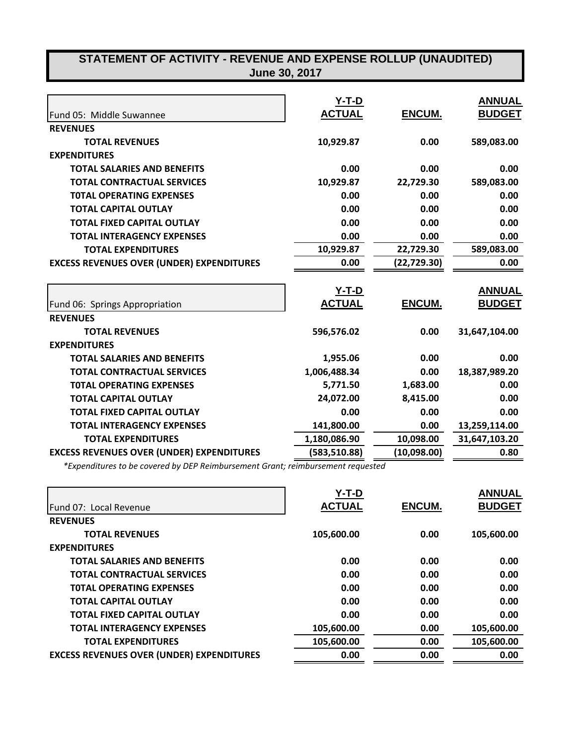# **STATEMENT OF ACTIVITY - REVENUE AND EXPENSE ROLLUP (UNAUDITED)**

| June 30, 2017 |
|---------------|
|---------------|

|                                                  | $Y-T-D$       |               | <b>ANNUAL</b> |
|--------------------------------------------------|---------------|---------------|---------------|
| Fund 05: Middle Suwannee                         | <b>ACTUAL</b> | ENCUM.        | <b>BUDGET</b> |
| <b>REVENUES</b>                                  |               |               |               |
| <b>TOTAL REVENUES</b>                            | 10,929.87     | 0.00          | 589,083.00    |
| <b>EXPENDITURES</b>                              |               |               |               |
| <b>TOTAL SALARIES AND BENEFITS</b>               | 0.00          | 0.00          | 0.00          |
| <b>TOTAL CONTRACTUAL SERVICES</b>                | 10,929.87     | 22,729.30     | 589,083.00    |
| <b>TOTAL OPERATING EXPENSES</b>                  | 0.00          | 0.00          | 0.00          |
| <b>TOTAL CAPITAL OUTLAY</b>                      | 0.00          | 0.00          | 0.00          |
| <b>TOTAL FIXED CAPITAL OUTLAY</b>                | 0.00          | 0.00          | 0.00          |
| <b>TOTAL INTERAGENCY EXPENSES</b>                | 0.00          | 0.00          | 0.00          |
| <b>TOTAL EXPENDITURES</b>                        | 10,929.87     | 22,729.30     | 589,083.00    |
| <b>EXCESS REVENUES OVER (UNDER) EXPENDITURES</b> | 0.00          | (22, 729.30)  | 0.00          |
|                                                  |               |               |               |
|                                                  | $Y-T-D$       |               | <b>ANNUAL</b> |
| Fund 06: Springs Appropriation                   | <b>ACTUAL</b> | <b>ENCUM.</b> | <b>BUDGET</b> |
| <b>REVENUES</b>                                  |               |               |               |
| <b>TOTAL REVENUES</b>                            | 596,576.02    | 0.00          | 31,647,104.00 |
| <b>EXPENDITURES</b>                              |               |               |               |
| <b>TOTAL SALARIES AND BENEFITS</b>               | 1,955.06      | 0.00          | 0.00          |
| <b>TOTAL CONTRACTUAL SERVICES</b>                |               |               |               |
|                                                  | 1,006,488.34  | 0.00          | 18,387,989.20 |
| <b>TOTAL OPERATING EXPENSES</b>                  | 5,771.50      | 1,683.00      | 0.00          |
| <b>TOTAL CAPITAL OUTLAY</b>                      | 24,072.00     | 8,415.00      | 0.00          |
| <b>TOTAL FIXED CAPITAL OUTLAY</b>                | 0.00          | 0.00          | 0.00          |
| <b>TOTAL INTERAGENCY EXPENSES</b>                | 141,800.00    | 0.00          | 13,259,114.00 |
| <b>TOTAL EXPENDITURES</b>                        | 1,180,086.90  | 10,098.00     | 31,647,103.20 |

*\*Expenditures to be covered by DEP Reimbursement Grant; reimbursement requested*

|                                                  | Y-T-D         |               | <b>ANNUAL</b> |
|--------------------------------------------------|---------------|---------------|---------------|
| Fund 07: Local Revenue                           | <b>ACTUAL</b> | <b>ENCUM.</b> | <b>BUDGET</b> |
| <b>REVENUES</b>                                  |               |               |               |
| <b>TOTAL REVENUES</b>                            | 105,600.00    | 0.00          | 105,600.00    |
| <b>EXPENDITURES</b>                              |               |               |               |
| <b>TOTAL SALARIES AND BENEFITS</b>               | 0.00          | 0.00          | 0.00          |
| <b>TOTAL CONTRACTUAL SERVICES</b>                | 0.00          | 0.00          | 0.00          |
| <b>TOTAL OPERATING EXPENSES</b>                  | 0.00          | 0.00          | 0.00          |
| <b>TOTAL CAPITAL OUTLAY</b>                      | 0.00          | 0.00          | 0.00          |
| <b>TOTAL FIXED CAPITAL OUTLAY</b>                | 0.00          | 0.00          | 0.00          |
| <b>TOTAL INTERAGENCY EXPENSES</b>                | 105,600.00    | 0.00          | 105,600.00    |
| <b>TOTAL EXPENDITURES</b>                        | 105,600.00    | 0.00          | 105,600.00    |
| <b>EXCESS REVENUES OVER (UNDER) EXPENDITURES</b> | 0.00          | 0.00          | 0.00          |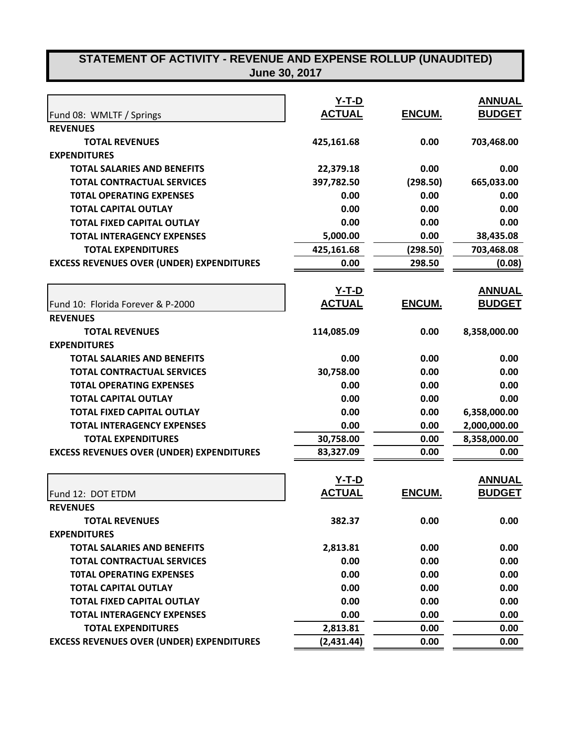| STATEMENT OF ACTIVITY - REVENUE AND EXPENSE ROLLUP (UNAUDITED)<br>June 30, 2017 |               |          |               |
|---------------------------------------------------------------------------------|---------------|----------|---------------|
|                                                                                 |               |          |               |
|                                                                                 | <u>Y-T-D</u>  |          | <b>ANNUAL</b> |
| Fund 08: WMLTF / Springs                                                        | <b>ACTUAL</b> | ENCUM.   | <b>BUDGET</b> |
| <b>REVENUES</b>                                                                 |               |          |               |
| <b>TOTAL REVENUES</b>                                                           | 425,161.68    | 0.00     | 703,468.00    |
| <b>EXPENDITURES</b>                                                             |               |          |               |
| <b>TOTAL SALARIES AND BENEFITS</b>                                              | 22,379.18     | 0.00     | 0.00          |
| <b>TOTAL CONTRACTUAL SERVICES</b>                                               | 397,782.50    | (298.50) | 665,033.00    |
| <b>TOTAL OPERATING EXPENSES</b>                                                 | 0.00          | 0.00     | 0.00          |
| <b>TOTAL CAPITAL OUTLAY</b>                                                     | 0.00          | 0.00     | 0.00          |
| <b>TOTAL FIXED CAPITAL OUTLAY</b>                                               | 0.00          | 0.00     | 0.00          |
| <b>TOTAL INTERAGENCY EXPENSES</b>                                               | 5,000.00      | 0.00     | 38,435.08     |
| <b>TOTAL EXPENDITURES</b>                                                       | 425,161.68    | (298.50) | 703,468.08    |
| <b>EXCESS REVENUES OVER (UNDER) EXPENDITURES</b>                                | 0.00          | 298.50   | (0.08)        |
|                                                                                 |               |          |               |
|                                                                                 | <u>Y-T-D</u>  |          | <b>ANNUAL</b> |
| Fund 10: Florida Forever & P-2000                                               | <b>ACTUAL</b> | ENCUM.   | <b>BUDGET</b> |
| <b>REVENUES</b>                                                                 |               |          |               |
| <b>TOTAL REVENUES</b>                                                           | 114,085.09    | 0.00     | 8,358,000.00  |
| <b>EXPENDITURES</b>                                                             |               |          |               |
| <b>TOTAL SALARIES AND BENEFITS</b>                                              | 0.00          | 0.00     | 0.00          |
| <b>TOTAL CONTRACTUAL SERVICES</b>                                               | 30,758.00     | 0.00     | 0.00          |
| <b>TOTAL OPERATING EXPENSES</b>                                                 | 0.00          | 0.00     | 0.00          |
| <b>TOTAL CAPITAL OUTLAY</b>                                                     | 0.00          | 0.00     | 0.00          |
| <b>TOTAL FIXED CAPITAL OUTLAY</b>                                               | 0.00          | 0.00     | 6,358,000.00  |
| <b>TOTAL INTERAGENCY EXPENSES</b>                                               | 0.00          | 0.00     | 2,000,000.00  |
| <b>TOTAL EXPENDITURES</b>                                                       | 30,758.00     | 0.00     | 8,358,000.00  |
| <b>EXCESS REVENUES OVER (UNDER) EXPENDITURES</b>                                | 83,327.09     | 0.00     | 0.00          |
|                                                                                 | <u>Y-T-D</u>  |          | <b>ANNUAL</b> |
| Fund 12: DOT ETDM                                                               | <b>ACTUAL</b> | ENCUM.   | <b>BUDGET</b> |
| <b>REVENUES</b>                                                                 |               |          |               |
| <b>TOTAL REVENUES</b>                                                           | 382.37        | 0.00     | 0.00          |
| <b>EXPENDITURES</b>                                                             |               |          |               |
| <b>TOTAL SALARIES AND BENEFITS</b>                                              | 2,813.81      | 0.00     | 0.00          |
| <b>TOTAL CONTRACTUAL SERVICES</b>                                               | 0.00          | 0.00     | 0.00          |
| <b>TOTAL OPERATING EXPENSES</b>                                                 | 0.00          | 0.00     | 0.00          |
| <b>TOTAL CAPITAL OUTLAY</b>                                                     | 0.00          | 0.00     | 0.00          |
| <b>TOTAL FIXED CAPITAL OUTLAY</b>                                               | 0.00          | 0.00     | 0.00          |
| <b>TOTAL INTERAGENCY EXPENSES</b>                                               | 0.00          | 0.00     | 0.00          |
| <b>TOTAL EXPENDITURES</b>                                                       | 2,813.81      | 0.00     | 0.00          |
| <b>EXCESS REVENUES OVER (UNDER) EXPENDITURES</b>                                | (2,431.44)    | 0.00     | 0.00          |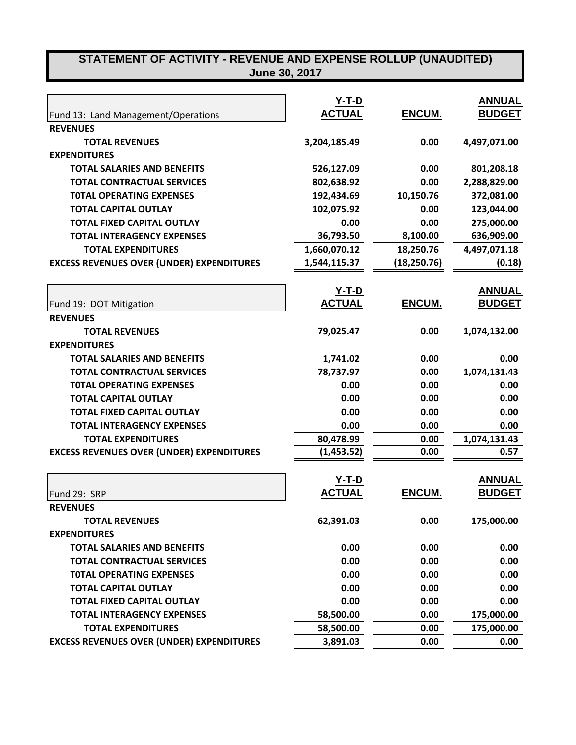### **STATEMENT OF ACTIVITY - REVENUE AND EXPENSE ROLLUP (UNAUDITED) June 30, 2017**

| Fund 13: Land Management/Operations              | <b>Y-T-D</b><br><b>ACTUAL</b> | ENCUM.        | <b>ANNUAL</b><br><b>BUDGET</b> |
|--------------------------------------------------|-------------------------------|---------------|--------------------------------|
| <b>REVENUES</b>                                  |                               |               |                                |
| <b>TOTAL REVENUES</b>                            | 3,204,185.49                  | 0.00          | 4,497,071.00                   |
| <b>EXPENDITURES</b>                              |                               |               |                                |
| <b>TOTAL SALARIES AND BENEFITS</b>               | 526,127.09                    | 0.00          | 801,208.18                     |
| <b>TOTAL CONTRACTUAL SERVICES</b>                | 802,638.92                    | 0.00          | 2,288,829.00                   |
| <b>TOTAL OPERATING EXPENSES</b>                  | 192,434.69                    | 10,150.76     | 372,081.00                     |
| <b>TOTAL CAPITAL OUTLAY</b>                      | 102,075.92                    | 0.00          | 123,044.00                     |
| <b>TOTAL FIXED CAPITAL OUTLAY</b>                | 0.00                          | 0.00          | 275,000.00                     |
|                                                  | 36,793.50                     |               |                                |
| <b>TOTAL INTERAGENCY EXPENSES</b>                |                               | 8,100.00      | 636,909.00                     |
| <b>TOTAL EXPENDITURES</b>                        | 1,660,070.12                  | 18,250.76     | 4,497,071.18                   |
| <b>EXCESS REVENUES OVER (UNDER) EXPENDITURES</b> | 1,544,115.37                  | (18, 250.76)  | (0.18)                         |
|                                                  | <u>Y-T-D</u>                  |               | <b>ANNUAL</b>                  |
| Fund 19: DOT Mitigation                          | <b>ACTUAL</b>                 | <b>ENCUM.</b> | <b>BUDGET</b>                  |
| <b>REVENUES</b>                                  |                               |               |                                |
| <b>TOTAL REVENUES</b>                            | 79,025.47                     | 0.00          | 1,074,132.00                   |
| <b>EXPENDITURES</b>                              |                               |               |                                |
| <b>TOTAL SALARIES AND BENEFITS</b>               | 1,741.02                      | 0.00          | 0.00                           |
| <b>TOTAL CONTRACTUAL SERVICES</b>                | 78,737.97                     | 0.00          | 1,074,131.43                   |
| <b>TOTAL OPERATING EXPENSES</b>                  | 0.00                          | 0.00          | 0.00                           |
| <b>TOTAL CAPITAL OUTLAY</b>                      | 0.00                          | 0.00          | 0.00                           |
| <b>TOTAL FIXED CAPITAL OUTLAY</b>                | 0.00                          | 0.00          | 0.00                           |
| <b>TOTAL INTERAGENCY EXPENSES</b>                | 0.00                          | 0.00          | 0.00                           |
| <b>TOTAL EXPENDITURES</b>                        | 80,478.99                     | 0.00          | 1,074,131.43                   |
| <b>EXCESS REVENUES OVER (UNDER) EXPENDITURES</b> | (1, 453.52)                   | 0.00          | 0.57                           |
|                                                  |                               |               |                                |
|                                                  | <u>Y-T-D</u>                  |               | <b>ANNUAL</b>                  |
| Fund 29: SRP                                     | <b>ACTUAL</b>                 | ENCUM.        | <b>BUDGET</b>                  |
| <b>REVENUES</b>                                  |                               |               |                                |
| <b>TOTAL REVENUES</b>                            | 62,391.03                     | 0.00          | 175,000.00                     |
| <b>EXPENDITURES</b>                              |                               |               |                                |
| <b>TOTAL SALARIES AND BENEFITS</b>               | 0.00                          | 0.00          | 0.00                           |
| <b>TOTAL CONTRACTUAL SERVICES</b>                | 0.00                          | 0.00          | 0.00                           |
| <b>TOTAL OPERATING EXPENSES</b>                  | 0.00                          | 0.00          | 0.00                           |
| <b>TOTAL CAPITAL OUTLAY</b>                      | 0.00                          | 0.00          | 0.00                           |
| TOTAL FIXED CAPITAL OUTLAY                       | 0.00                          | 0.00          | 0.00                           |
| <b>TOTAL INTERAGENCY EXPENSES</b>                | 58,500.00                     | 0.00          | 175,000.00                     |
| <b>TOTAL EXPENDITURES</b>                        | 58,500.00                     | 0.00          | 175,000.00                     |
| <b>EXCESS REVENUES OVER (UNDER) EXPENDITURES</b> | 3,891.03                      | 0.00          | 0.00                           |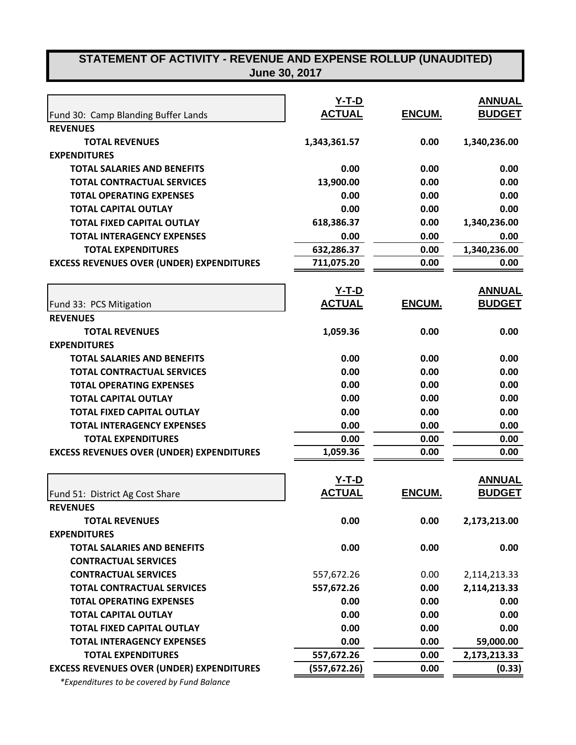### **STATEMENT OF ACTIVITY - REVENUE AND EXPENSE ROLLUP (UNAUDITED) June 30, 2017**

| Fund 30: Camp Blanding Buffer Lands              | <u>Y-T-D</u><br><b>ACTUAL</b> | ENCUM.        | <b>ANNUAL</b><br><b>BUDGET</b> |
|--------------------------------------------------|-------------------------------|---------------|--------------------------------|
| <b>REVENUES</b>                                  |                               |               |                                |
| <b>TOTAL REVENUES</b>                            | 1,343,361.57                  | 0.00          | 1,340,236.00                   |
| <b>EXPENDITURES</b>                              |                               |               |                                |
| <b>TOTAL SALARIES AND BENEFITS</b>               | 0.00                          | 0.00          | 0.00                           |
| <b>TOTAL CONTRACTUAL SERVICES</b>                | 13,900.00                     | 0.00          | 0.00                           |
| <b>TOTAL OPERATING EXPENSES</b>                  | 0.00                          | 0.00          | 0.00                           |
| <b>TOTAL CAPITAL OUTLAY</b>                      | 0.00                          | 0.00          | 0.00                           |
| <b>TOTAL FIXED CAPITAL OUTLAY</b>                | 618,386.37                    | 0.00          | 1,340,236.00                   |
| <b>TOTAL INTERAGENCY EXPENSES</b>                | 0.00                          | 0.00          | 0.00                           |
| <b>TOTAL EXPENDITURES</b>                        | 632,286.37                    | 0.00          | 1,340,236.00                   |
| <b>EXCESS REVENUES OVER (UNDER) EXPENDITURES</b> | 711,075.20                    | 0.00          | 0.00                           |
|                                                  | <u>Y-T-D</u>                  |               | <b>ANNUAL</b>                  |
| Fund 33: PCS Mitigation                          | <b>ACTUAL</b>                 | <b>ENCUM.</b> | <b>BUDGET</b>                  |
| <b>REVENUES</b>                                  |                               |               |                                |
| <b>TOTAL REVENUES</b>                            | 1,059.36                      | 0.00          | 0.00                           |
| <b>EXPENDITURES</b>                              |                               |               |                                |
| <b>TOTAL SALARIES AND BENEFITS</b>               | 0.00                          | 0.00          | 0.00                           |
| <b>TOTAL CONTRACTUAL SERVICES</b>                | 0.00                          | 0.00          | 0.00                           |
| <b>TOTAL OPERATING EXPENSES</b>                  | 0.00                          | 0.00          | 0.00                           |
| <b>TOTAL CAPITAL OUTLAY</b>                      | 0.00                          | 0.00          | 0.00                           |
| <b>TOTAL FIXED CAPITAL OUTLAY</b>                | 0.00                          | 0.00          | 0.00                           |
| <b>TOTAL INTERAGENCY EXPENSES</b>                | 0.00                          | 0.00          | 0.00                           |
| <b>TOTAL EXPENDITURES</b>                        | 0.00                          | 0.00          | 0.00                           |
| <b>EXCESS REVENUES OVER (UNDER) EXPENDITURES</b> | 1,059.36                      | 0.00          | 0.00                           |
|                                                  | <u>Y-T-D</u>                  |               | <b>ANNUAL</b>                  |
| Fund 51: District Ag Cost Share                  | <b>ACTUAL</b>                 | <b>ENCUM.</b> | <b>BUDGET</b>                  |
| <b>REVENUES</b>                                  |                               |               |                                |
| <b>TOTAL REVENUES</b>                            | 0.00                          | 0.00          | 2,173,213.00                   |
| <b>EXPENDITURES</b>                              |                               |               |                                |
| <b>TOTAL SALARIES AND BENEFITS</b>               | 0.00                          | 0.00          | 0.00                           |
| <b>CONTRACTUAL SERVICES</b>                      |                               |               |                                |
| <b>CONTRACTUAL SERVICES</b>                      | 557,672.26                    | 0.00          | 2,114,213.33                   |
| <b>TOTAL CONTRACTUAL SERVICES</b>                | 557,672.26                    | 0.00          | 2,114,213.33                   |
| <b>TOTAL OPERATING EXPENSES</b>                  | 0.00                          | 0.00          | 0.00                           |
| <b>TOTAL CAPITAL OUTLAY</b>                      | 0.00                          | 0.00          | 0.00                           |
| <b>TOTAL FIXED CAPITAL OUTLAY</b>                | 0.00                          | 0.00          | 0.00                           |
| <b>TOTAL INTERAGENCY EXPENSES</b>                | 0.00                          | 0.00          | 59,000.00                      |
| <b>TOTAL EXPENDITURES</b>                        | 557,672.26                    | 0.00          | 2,173,213.33                   |
| <b>EXCESS REVENUES OVER (UNDER) EXPENDITURES</b> | (557, 672.26)                 | 0.00          | (0.33)                         |

 *\*Expenditures to be covered by Fund Balance*